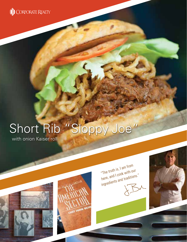

# Short Rib "Sloppy Joe"

with onion Kaiser roll





"The truth is, I am from here, and I cook with our here, and I cour waditions."<br>ingredients and traditions."